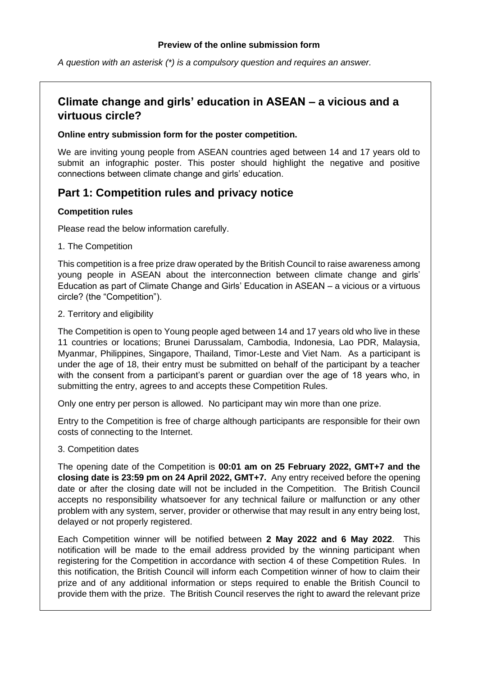#### **Preview of the online submission form**

*A question with an asterisk (\*) is a compulsory question and requires an answer.*

## **Climate change and girls' education in ASEAN – a vicious and a virtuous circle?**

#### **Online entry submission form for the poster competition.**

We are inviting young people from ASEAN countries aged between 14 and 17 years old to submit an infographic poster. This poster should highlight the negative and positive connections between climate change and girls' education.

### **Part 1: Competition rules and privacy notice**

### **Competition rules**

Please read the below information carefully.

1. The Competition

This competition is a free prize draw operated by the British Council to raise awareness among young people in ASEAN about the interconnection between climate change and girls' Education as part of Climate Change and Girls' Education in ASEAN – a vicious or a virtuous circle? (the "Competition").

2. Territory and eligibility

The Competition is open to Young people aged between 14 and 17 years old who live in these 11 countries or locations; Brunei Darussalam, Cambodia, Indonesia, Lao PDR, Malaysia, Myanmar, Philippines, Singapore, Thailand, Timor-Leste and Viet Nam. As a participant is under the age of 18, their entry must be submitted on behalf of the participant by a teacher with the consent from a participant's parent or guardian over the age of 18 years who, in submitting the entry, agrees to and accepts these Competition Rules.

Only one entry per person is allowed. No participant may win more than one prize.

Entry to the Competition is free of charge although participants are responsible for their own costs of connecting to the Internet.

#### 3. Competition dates

The opening date of the Competition is **00:01 am on 25 February 2022, GMT+7 and the closing date is 23:59 pm on 24 April 2022, GMT+7.** Any entry received before the opening date or after the closing date will not be included in the Competition. The British Council accepts no responsibility whatsoever for any technical failure or malfunction or any other problem with any system, server, provider or otherwise that may result in any entry being lost, delayed or not properly registered.

Each Competition winner will be notified between **2 May 2022 and 6 May 2022**. This notification will be made to the email address provided by the winning participant when registering for the Competition in accordance with section 4 of these Competition Rules. In this notification, the British Council will inform each Competition winner of how to claim their prize and of any additional information or steps required to enable the British Council to provide them with the prize. The British Council reserves the right to award the relevant prize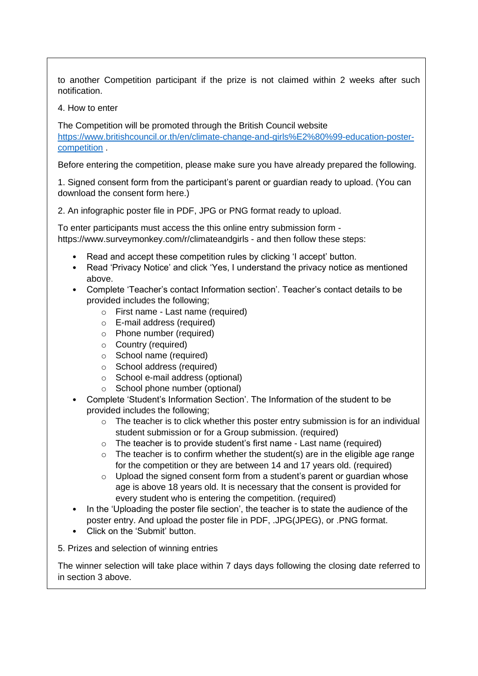to another Competition participant if the prize is not claimed within 2 weeks after such notification.

4. How to enter

The Competition will be promoted through the British Council website [https://www.britishcouncil.or.th/en/climate-change-and-girls%E2%80%99-education-poster](https://www.britishcouncil.or.th/en/climate-change-and-girls%E2%80%99-education-poster-competition)[competition](https://www.britishcouncil.or.th/en/climate-change-and-girls%E2%80%99-education-poster-competition) .

Before entering the competition, please make sure you have already prepared the following.

1. Signed consent form from the participant's parent or guardian ready to upload. (You can download the consent form here.)

2. An infographic poster file in PDF, JPG or PNG format ready to upload.

To enter participants must access the this online entry submission form https://www.surveymonkey.com/r/climateandgirls - and then follow these steps:

- Read and accept these competition rules by clicking 'I accept' button.
- Read 'Privacy Notice' and click 'Yes, I understand the privacy notice as mentioned above.
- Complete 'Teacher's contact Information section'. Teacher's contact details to be provided includes the following;
	- o First name Last name (required)
	- o E-mail address (required)
	- o Phone number (required)
	- o Country (required)
	- o School name (required)
	- o School address (required)
	- o School e-mail address (optional)
	- o School phone number (optional)
- Complete 'Student's Information Section'. The Information of the student to be provided includes the following;
	- $\circ$  The teacher is to click whether this poster entry submission is for an individual student submission or for a Group submission. (required)
	- $\circ$  The teacher is to provide student's first name Last name (required)
	- $\circ$  The teacher is to confirm whether the student(s) are in the eligible age range for the competition or they are between 14 and 17 years old. (required)
	- o Upload the signed consent form from a student's parent or guardian whose age is above 18 years old. It is necessary that the consent is provided for every student who is entering the competition. (required)
- In the 'Uploading the poster file section', the teacher is to state the audience of the poster entry. And upload the poster file in PDF, .JPG(JPEG), or .PNG format.
- Click on the 'Submit' button.
- 5. Prizes and selection of winning entries

The winner selection will take place within 7 days days following the closing date referred to in section 3 above.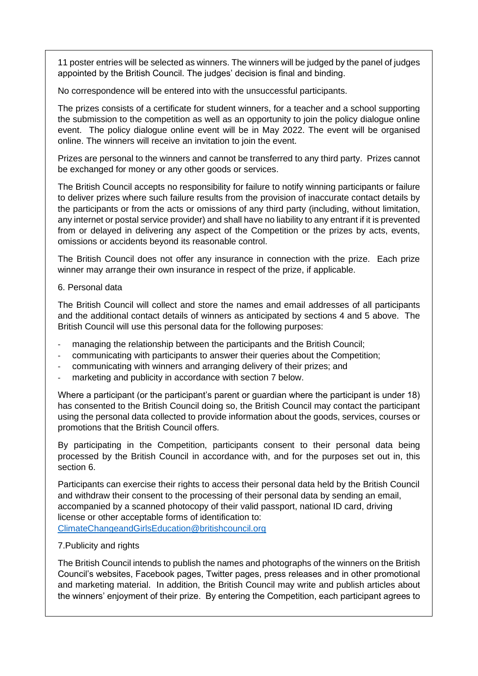11 poster entries will be selected as winners. The winners will be judged by the panel of judges appointed by the British Council. The judges' decision is final and binding.

No correspondence will be entered into with the unsuccessful participants.

The prizes consists of a certificate for student winners, for a teacher and a school supporting the submission to the competition as well as an opportunity to join the policy dialogue online event. The policy dialogue online event will be in May 2022. The event will be organised online. The winners will receive an invitation to join the event.

Prizes are personal to the winners and cannot be transferred to any third party. Prizes cannot be exchanged for money or any other goods or services.

The British Council accepts no responsibility for failure to notify winning participants or failure to deliver prizes where such failure results from the provision of inaccurate contact details by the participants or from the acts or omissions of any third party (including, without limitation, any internet or postal service provider) and shall have no liability to any entrant if it is prevented from or delayed in delivering any aspect of the Competition or the prizes by acts, events, omissions or accidents beyond its reasonable control.

The British Council does not offer any insurance in connection with the prize. Each prize winner may arrange their own insurance in respect of the prize, if applicable.

### 6. Personal data

The British Council will collect and store the names and email addresses of all participants and the additional contact details of winners as anticipated by sections 4 and 5 above. The British Council will use this personal data for the following purposes:

- managing the relationship between the participants and the British Council;
- communicating with participants to answer their queries about the Competition;
- communicating with winners and arranging delivery of their prizes; and
- marketing and publicity in accordance with section 7 below.

Where a participant (or the participant's parent or guardian where the participant is under 18) has consented to the British Council doing so, the British Council may contact the participant using the personal data collected to provide information about the goods, services, courses or promotions that the British Council offers.

By participating in the Competition, participants consent to their personal data being processed by the British Council in accordance with, and for the purposes set out in, this section 6.

Participants can exercise their rights to access their personal data held by the British Council and withdraw their consent to the processing of their personal data by sending an email, accompanied by a scanned photocopy of their valid passport, national ID card, driving license or other acceptable forms of identification to: [ClimateChangeandGirlsEducation@britishcouncil.org](mailto:ClimateChangeandGirlsEducation@britishcouncil.org)

### 7.Publicity and rights

The British Council intends to publish the names and photographs of the winners on the British Council's websites, Facebook pages, Twitter pages, press releases and in other promotional and marketing material. In addition, the British Council may write and publish articles about the winners' enjoyment of their prize. By entering the Competition, each participant agrees to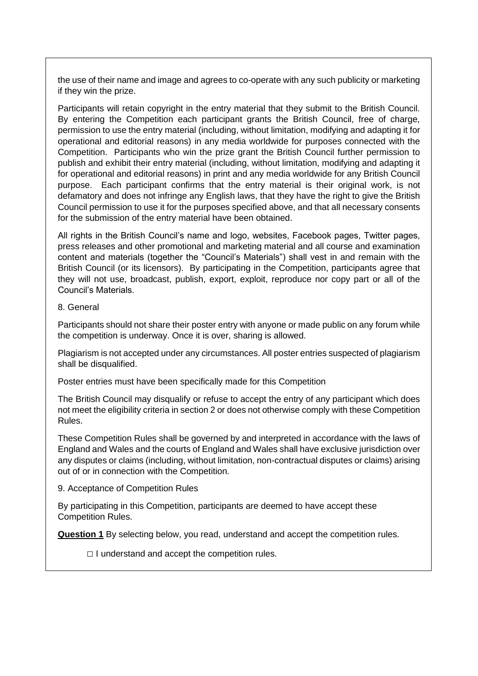the use of their name and image and agrees to co-operate with any such publicity or marketing if they win the prize.

Participants will retain copyright in the entry material that they submit to the British Council. By entering the Competition each participant grants the British Council, free of charge, permission to use the entry material (including, without limitation, modifying and adapting it for operational and editorial reasons) in any media worldwide for purposes connected with the Competition. Participants who win the prize grant the British Council further permission to publish and exhibit their entry material (including, without limitation, modifying and adapting it for operational and editorial reasons) in print and any media worldwide for any British Council purpose. Each participant confirms that the entry material is their original work, is not defamatory and does not infringe any English laws, that they have the right to give the British Council permission to use it for the purposes specified above, and that all necessary consents for the submission of the entry material have been obtained.

All rights in the British Council's name and logo, websites, Facebook pages, Twitter pages, press releases and other promotional and marketing material and all course and examination content and materials (together the "Council's Materials") shall vest in and remain with the British Council (or its licensors). By participating in the Competition, participants agree that they will not use, broadcast, publish, export, exploit, reproduce nor copy part or all of the Council's Materials.

### 8. General

Participants should not share their poster entry with anyone or made public on any forum while the competition is underway. Once it is over, sharing is allowed.

Plagiarism is not accepted under any circumstances. All poster entries suspected of plagiarism shall be disqualified.

Poster entries must have been specifically made for this Competition

The British Council may disqualify or refuse to accept the entry of any participant which does not meet the eligibility criteria in section 2 or does not otherwise comply with these Competition Rules.

These Competition Rules shall be governed by and interpreted in accordance with the laws of England and Wales and the courts of England and Wales shall have exclusive jurisdiction over any disputes or claims (including, without limitation, non-contractual disputes or claims) arising out of or in connection with the Competition.

9. Acceptance of Competition Rules

By participating in this Competition, participants are deemed to have accept these Competition Rules.

**Question 1** By selecting below, you read, understand and accept the competition rules.

 $\Box$  I understand and accept the competition rules.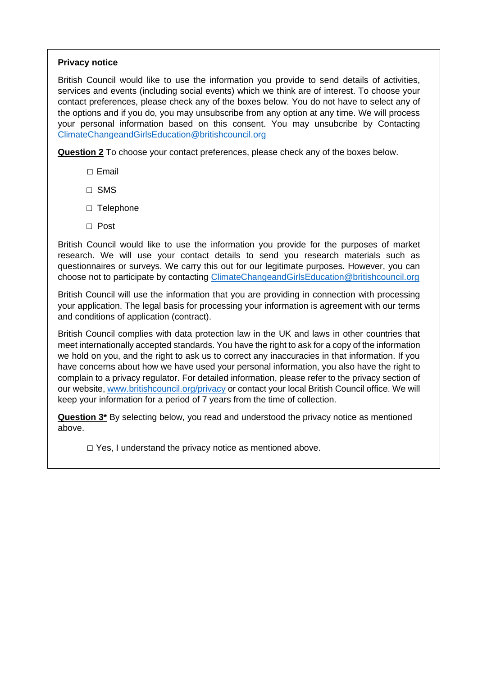### **Privacy notice**

British Council would like to use the information you provide to send details of activities, services and events (including social events) which we think are of interest. To choose your contact preferences, please check any of the boxes below. You do not have to select any of the options and if you do, you may unsubscribe from any option at any time. We will process your personal information based on this consent. You may unsubcribe by Contacting [ClimateChangeandGirlsEducation@britishcouncil.org](mailto:ClimateChangeandGirlsEducation@britishcouncil.org)

**Question 2** To choose your contact preferences, please check any of the boxes below.

- □ Email
- □ SMS
- □ Telephone
- □ Post

British Council would like to use the information you provide for the purposes of market research. We will use your contact details to send you research materials such as questionnaires or surveys. We carry this out for our legitimate purposes. However, you can choose not to participate by contacting [ClimateChangeandGirlsEducation@britishcouncil.org](mailto:ClimateChangeandGirlsEducation@britishcouncil.org)

British Council will use the information that you are providing in connection with processing your application. The legal basis for processing your information is agreement with our terms and conditions of application (contract).

British Council complies with data protection law in the UK and laws in other countries that meet internationally accepted standards. You have the right to ask for a copy of the information we hold on you, and the right to ask us to correct any inaccuracies in that information. If you have concerns about how we have used your personal information, you also have the right to complain to a privacy regulator. For detailed information, please refer to the privacy section of our website[, www.britishcouncil.org/privacy](http://www.britishcouncil.org/privacy) or contact your local British Council office. We will keep your information for a period of 7 years from the time of collection.

**Question 3\*** By selecting below, you read and understood the privacy notice as mentioned above.

 $\Box$  Yes, I understand the privacy notice as mentioned above.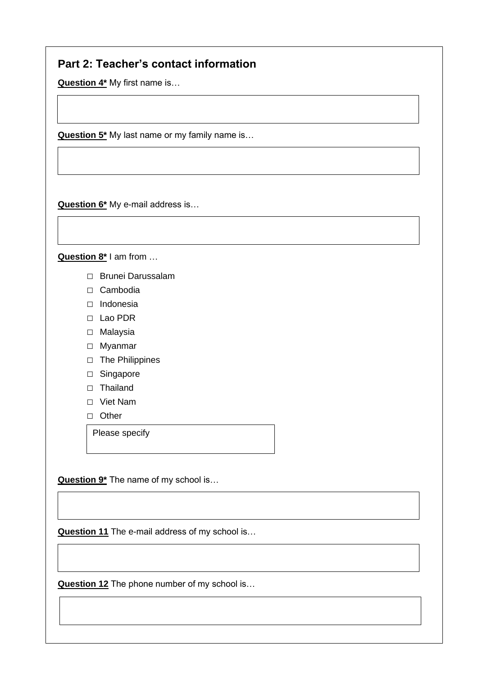## **Part 2: Teacher's contact information**

**Question 4\*** My first name is…

**Question 5<sup>\*</sup>** My last name or my family name is...

**Question 7\*** My phone number is… (Please also indicate the country code i.e. if you're from

**Question 6\*** My e-mail address is…

**Question 8\*** I am from …

- □ Brunei Darussalam
- □ Cambodia
- □ Indonesia
- □ Lao PDR
- □ Malaysia
- □ Myanmar
- □ The Philippines
- □ Singapore
- □ Thailand
- □ Viet Nam
- □ Other

Please specify

**Question 9\*** The name of my school is…

**Question 11** The e-mail address of my school is…

**Question 10\*** The address of my school is…

**Question 12** The phone number of my school is…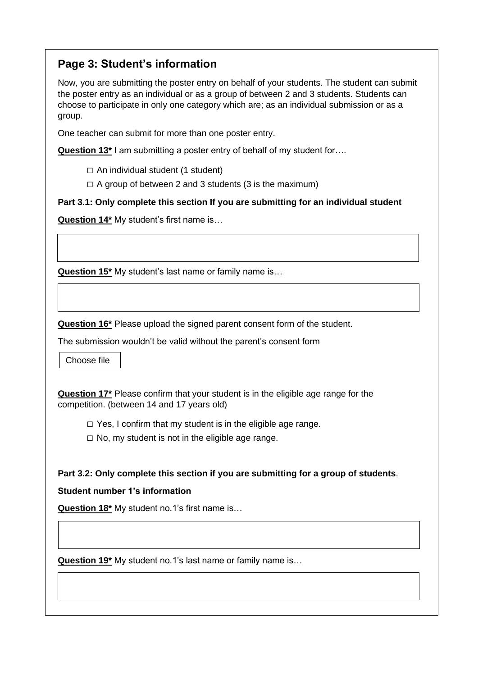# **Page 3: Student's information**

Now, you are submitting the poster entry on behalf of your students. The student can submit the poster entry as an individual or as a group of between 2 and 3 students. Students can choose to participate in only one category which are; as an individual submission or as a group.

One teacher can submit for more than one poster entry.

**Question 13\*** I am submitting a poster entry of behalf of my student for….

 $\Box$  An individual student (1 student)

 $\Box$  A group of between 2 and 3 students (3 is the maximum)

**Part 3.1: Only complete this section If you are submitting for an individual student**

**Question 14\*** My student's first name is…

**Question 15\*** My student's last name or family name is…

**Question 16\*** Please upload the signed parent consent form of the student.

The submission wouldn't be valid without the parent's consent form

Choose file

**Question 17\*** Please confirm that your student is in the eligible age range for the competition. (between 14 and 17 years old)

 $\Box$  Yes, I confirm that my student is in the eligible age range.

 $\Box$  No, my student is not in the eligible age range.

### **Part 3.2: Only complete this section if you are submitting for a group of students**.

### **Student number 1's information**

**Question 18\*** My student no.1's first name is…

**Question 19\*** My student no.1's last name or family name is…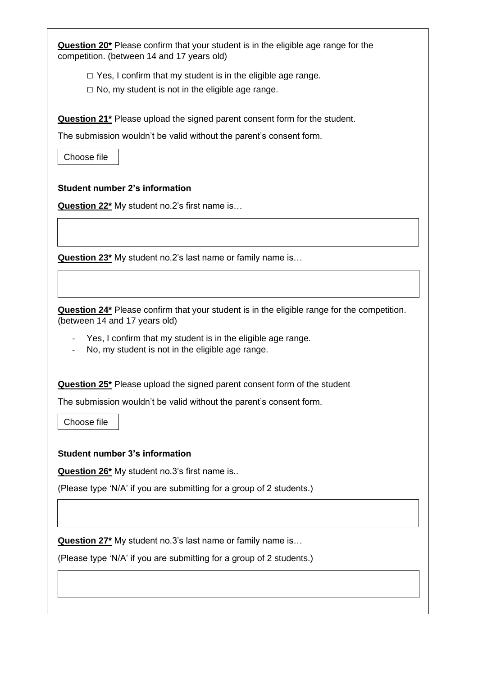| Question 20 <sup>*</sup> Please confirm that your student is in the eligible age range for the<br>competition. (between 14 and 17 years old)<br>$\Box$ Yes, I confirm that my student is in the eligible age range.<br>$\Box$ No, my student is not in the eligible age range.<br><b>Question 21<sup>*</sup></b> Please upload the signed parent consent form for the student. |  |
|--------------------------------------------------------------------------------------------------------------------------------------------------------------------------------------------------------------------------------------------------------------------------------------------------------------------------------------------------------------------------------|--|
|                                                                                                                                                                                                                                                                                                                                                                                |  |
|                                                                                                                                                                                                                                                                                                                                                                                |  |
|                                                                                                                                                                                                                                                                                                                                                                                |  |
| The submission wouldn't be valid without the parent's consent form.                                                                                                                                                                                                                                                                                                            |  |
| Choose file                                                                                                                                                                                                                                                                                                                                                                    |  |
| <b>Student number 2's information</b>                                                                                                                                                                                                                                                                                                                                          |  |
| <b>Question 22*</b> My student no.2's first name is                                                                                                                                                                                                                                                                                                                            |  |
|                                                                                                                                                                                                                                                                                                                                                                                |  |
| Question 23 <sup>*</sup> My student no.2's last name or family name is                                                                                                                                                                                                                                                                                                         |  |
|                                                                                                                                                                                                                                                                                                                                                                                |  |
| Question 24 <sup>*</sup> Please confirm that your student is in the eligible range for the competition.<br>(between 14 and 17 years old)                                                                                                                                                                                                                                       |  |
| Yes, I confirm that my student is in the eligible age range.<br>No, my student is not in the eligible age range.                                                                                                                                                                                                                                                               |  |
| Question 25 <sup>*</sup> Please upload the signed parent consent form of the student                                                                                                                                                                                                                                                                                           |  |
| The submission wouldn't be valid without the parent's consent form.                                                                                                                                                                                                                                                                                                            |  |
| Choose file                                                                                                                                                                                                                                                                                                                                                                    |  |
| <b>Student number 3's information</b>                                                                                                                                                                                                                                                                                                                                          |  |
| <b>Question 26*</b> My student no.3's first name is                                                                                                                                                                                                                                                                                                                            |  |
| (Please type 'N/A' if you are submitting for a group of 2 students.)                                                                                                                                                                                                                                                                                                           |  |
|                                                                                                                                                                                                                                                                                                                                                                                |  |
|                                                                                                                                                                                                                                                                                                                                                                                |  |
|                                                                                                                                                                                                                                                                                                                                                                                |  |
| <b>Question 27*</b> My student no.3's last name or family name is<br>(Please type 'N/A' if you are submitting for a group of 2 students.)                                                                                                                                                                                                                                      |  |
|                                                                                                                                                                                                                                                                                                                                                                                |  |